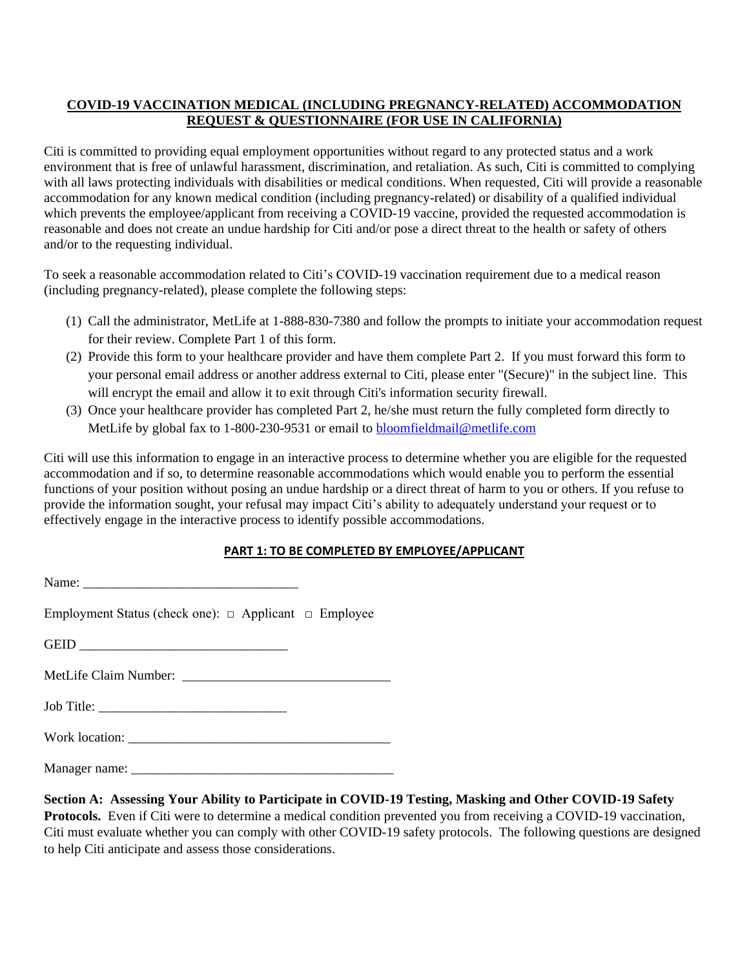## **COVID-19 VACCINATION MEDICAL (INCLUDING PREGNANCY-RELATED) ACCOMMODATION REQUEST & QUESTIONNAIRE (FOR USE IN CALIFORNIA)**

Citi is committed to providing equal employment opportunities without regard to any protected status and a work environment that is free of unlawful harassment, discrimination, and retaliation. As such, Citi is committed to complying with all laws protecting individuals with disabilities or medical conditions. When requested, Citi will provide a reasonable accommodation for any known medical condition (including pregnancy-related) or disability of a qualified individual which prevents the employee/applicant from receiving a COVID-19 vaccine, provided the requested accommodation is reasonable and does not create an undue hardship for Citi and/or pose a direct threat to the health or safety of others and/or to the requesting individual.

To seek a reasonable accommodation related to Citi's COVID-19 vaccination requirement due to a medical reason (including pregnancy-related), please complete the following steps:

- (1) Call the administrator, MetLife at 1-888-830-7380 and follow the prompts to initiate your accommodation request for their review. Complete Part 1 of this form.
- (2) Provide this form to your healthcare provider and have them complete Part 2. If you must forward this form to your personal email address or another address external to Citi, please enter "(Secure)" in the subject line. This will encrypt the email and allow it to exit through Citi's information security firewall.
- (3) Once your healthcare provider has completed Part 2, he/she must return the fully completed form directly to MetLife by global fax to 1-800-230-9531 or email to [bloomfieldmail@metlife.com](mailto:bloomfieldmail@metlife.com)

Citi will use this information to engage in an interactive process to determine whether you are eligible for the requested accommodation and if so, to determine reasonable accommodations which would enable you to perform the essential functions of your position without posing an undue hardship or a direct threat of harm to you or others. If you refuse to provide the information sought, your refusal may impact Citi's ability to adequately understand your request or to effectively engage in the interactive process to identify possible accommodations.

## **PART 1: TO BE COMPLETED BY EMPLOYEE/APPLICANT**

| Employment Status (check one): $\Box$ Applicant $\Box$ Employee |  |
|-----------------------------------------------------------------|--|
|                                                                 |  |
|                                                                 |  |
|                                                                 |  |
|                                                                 |  |
|                                                                 |  |
|                                                                 |  |

## **Section A: Assessing Your Ability to Participate in COVID-19 Testing, Masking and Other COVID-19 Safety Protocols.** Even if Citi were to determine a medical condition prevented you from receiving a COVID-19 vaccination, Citi must evaluate whether you can comply with other COVID-19 safety protocols. The following questions are designed to help Citi anticipate and assess those considerations.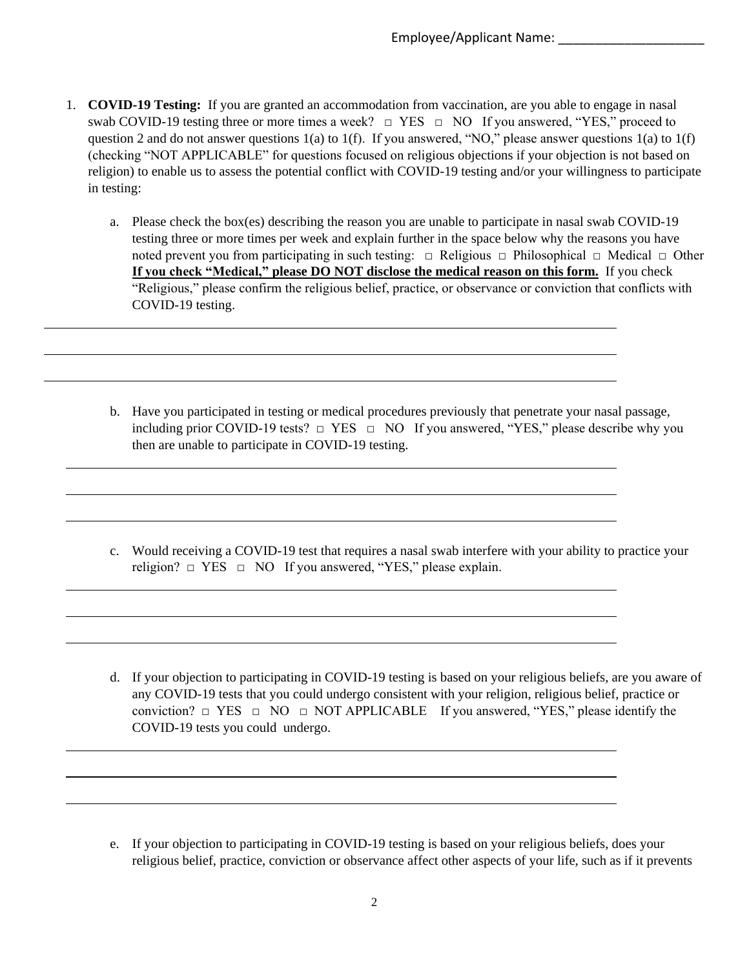- 1. **COVID-19 Testing:** If you are granted an accommodation from vaccination, are you able to engage in nasal swab COVID-19 testing three or more times a week? □ YES □ NO If you answered, "YES," proceed to question 2 and do not answer questions 1(a) to 1(f). If you answered, "NO," please answer questions 1(a) to 1(f) (checking "NOT APPLICABLE" for questions focused on religious objections if your objection is not based on religion) to enable us to assess the potential conflict with COVID-19 testing and/or your willingness to participate in testing:
	- a. Please check the box(es) describing the reason you are unable to participate in nasal swab COVID-19 testing three or more times per week and explain further in the space below why the reasons you have noted prevent you from participating in such testing: □ Religious □ Philosophical □ Medical □ Other **If you check "Medical," please DO NOT disclose the medical reason on this form.** If you check "Religious," please confirm the religious belief, practice, or observance or conviction that conflicts with COVID-19 testing.
	- b. Have you participated in testing or medical procedures previously that penetrate your nasal passage, including prior COVID-19 tests?  $\Box$  YES  $\Box$  NO If you answered, "YES," please describe why you then are unable to participate in COVID-19 testing.

- c. Would receiving a COVID-19 test that requires a nasal swab interfere with your ability to practice your religion?  $\Box$  YES  $\Box$  NO If you answered, "YES," please explain.
- d. If your objection to participating in COVID-19 testing is based on your religious beliefs, are you aware of any COVID-19 tests that you could undergo consistent with your religion, religious belief, practice or conviction?  $\Box$  YES  $\Box$  NO  $\Box$  NOT APPLICABLE If you answered, "YES," please identify the COVID-19 tests you could undergo.

e. If your objection to participating in COVID-19 testing is based on your religious beliefs, does your religious belief, practice, conviction or observance affect other aspects of your life, such as if it prevents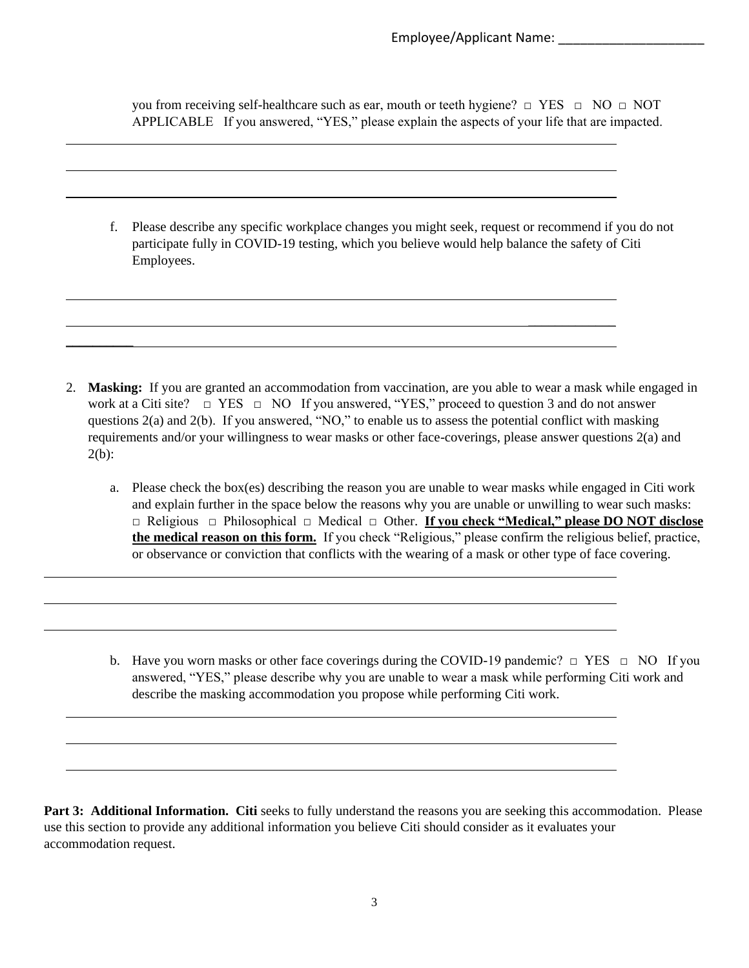\_\_\_\_\_\_\_\_\_\_\_\_\_

you from receiving self-healthcare such as ear, mouth or teeth hygiene?  $\Box$  YES  $\Box$  NO  $\Box$  NOT APPLICABLE If you answered, "YES," please explain the aspects of your life that are impacted.

f. Please describe any specific workplace changes you might seek, request or recommend if you do not participate fully in COVID-19 testing, which you believe would help balance the safety of Citi Employees.

2. **Masking:** If you are granted an accommodation from vaccination, are you able to wear a mask while engaged in work at a Citi site?  $\Box$  YES  $\Box$  NO If you answered, "YES," proceed to question 3 and do not answer questions 2(a) and 2(b). If you answered, "NO," to enable us to assess the potential conflict with masking requirements and/or your willingness to wear masks or other face-coverings, please answer questions 2(a) and 2(b):

 $\overline{\phantom{a}}$ 

- a. Please check the box(es) describing the reason you are unable to wear masks while engaged in Citi work and explain further in the space below the reasons why you are unable or unwilling to wear such masks: □ Religious □ Philosophical □ Medical □ Other. **If you check "Medical," please DO NOT disclose the medical reason on this form.** If you check "Religious," please confirm the religious belief, practice, or observance or conviction that conflicts with the wearing of a mask or other type of face covering.
- b. Have you worn masks or other face coverings during the COVID-19 pandemic?  $\Box$  YES  $\Box$  NO If you answered, "YES," please describe why you are unable to wear a mask while performing Citi work and describe the masking accommodation you propose while performing Citi work.

**Part 3: Additional Information. Citi** seeks to fully understand the reasons you are seeking this accommodation. Please use this section to provide any additional information you believe Citi should consider as it evaluates your accommodation request.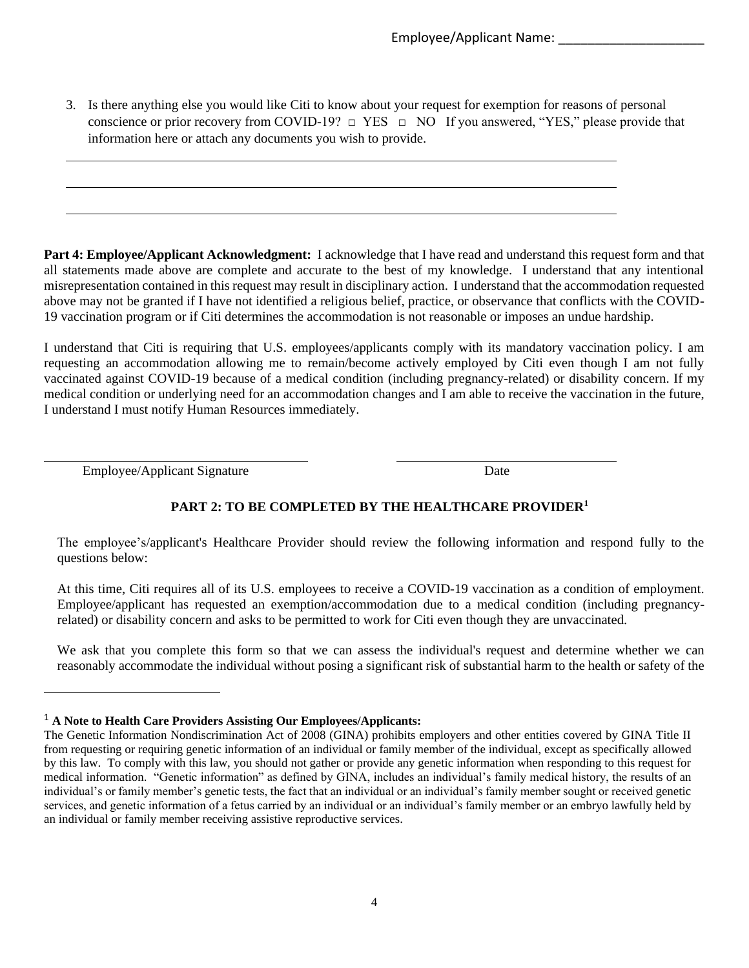Employee/Applicant Name:

3. Is there anything else you would like Citi to know about your request for exemption for reasons of personal conscience or prior recovery from COVID-19?  $\Box$  YES  $\Box$  NO If you answered, "YES," please provide that information here or attach any documents you wish to provide.

**Part 4: Employee/Applicant Acknowledgment:** I acknowledge that I have read and understand this request form and that all statements made above are complete and accurate to the best of my knowledge. I understand that any intentional misrepresentation contained in this request may result in disciplinary action. I understand that the accommodation requested above may not be granted if I have not identified a religious belief, practice, or observance that conflicts with the COVID-19 vaccination program or if Citi determines the accommodation is not reasonable or imposes an undue hardship.

I understand that Citi is requiring that U.S. employees/applicants comply with its mandatory vaccination policy. I am requesting an accommodation allowing me to remain/become actively employed by Citi even though I am not fully vaccinated against COVID-19 because of a medical condition (including pregnancy-related) or disability concern. If my medical condition or underlying need for an accommodation changes and I am able to receive the vaccination in the future, I understand I must notify Human Resources immediately.

Employee/Applicant Signature Date

## **PART 2: TO BE COMPLETED BY THE HEALTHCARE PROVIDER<sup>1</sup>**

The employee's/applicant's Healthcare Provider should review the following information and respond fully to the questions below:

At this time, Citi requires all of its U.S. employees to receive a COVID-19 vaccination as a condition of employment. Employee/applicant has requested an exemption/accommodation due to a medical condition (including pregnancyrelated) or disability concern and asks to be permitted to work for Citi even though they are unvaccinated.

We ask that you complete this form so that we can assess the individual's request and determine whether we can reasonably accommodate the individual without posing a significant risk of substantial harm to the health or safety of the

<sup>1</sup> **A Note to Health Care Providers Assisting Our Employees/Applicants:**

The Genetic Information Nondiscrimination Act of 2008 (GINA) prohibits employers and other entities covered by GINA Title II from requesting or requiring genetic information of an individual or family member of the individual, except as specifically allowed by this law. To comply with this law, you should not gather or provide any genetic information when responding to this request for medical information. "Genetic information" as defined by GINA, includes an individual's family medical history, the results of an individual's or family member's genetic tests, the fact that an individual or an individual's family member sought or received genetic services, and genetic information of a fetus carried by an individual or an individual's family member or an embryo lawfully held by an individual or family member receiving assistive reproductive services.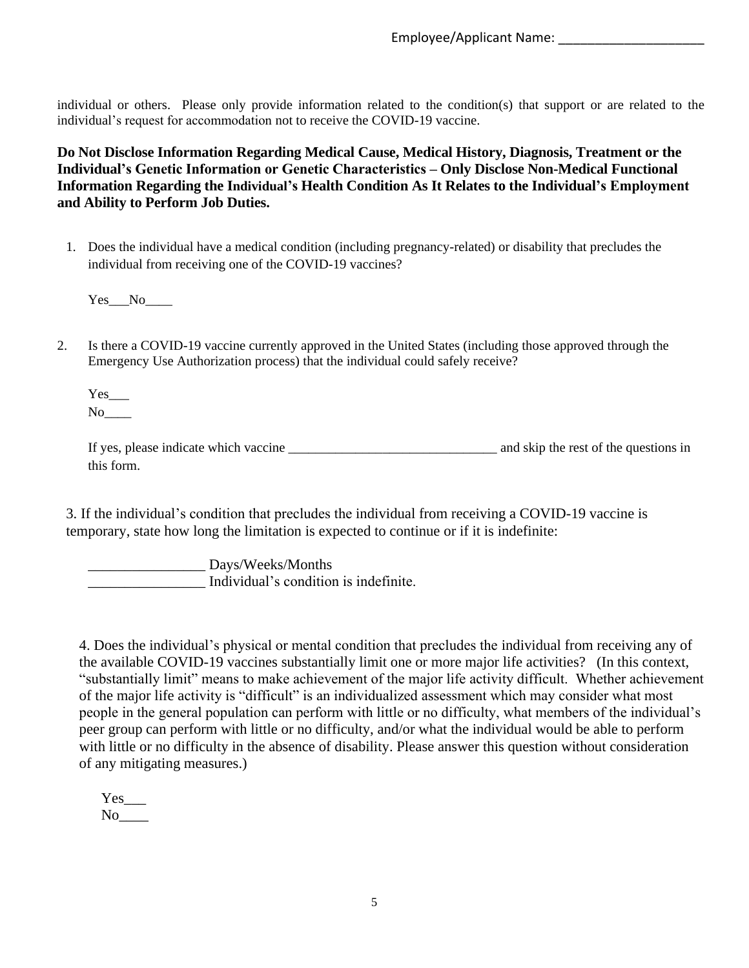individual or others. Please only provide information related to the condition(s) that support or are related to the individual's request for accommodation not to receive the COVID-19 vaccine.

**Do Not Disclose Information Regarding Medical Cause, Medical History, Diagnosis, Treatment or the Individual's Genetic Information or Genetic Characteristics – Only Disclose Non-Medical Functional Information Regarding the Individual's Health Condition As It Relates to the Individual's Employment and Ability to Perform Job Duties.**

1. Does the individual have a medical condition (including pregnancy-related) or disability that precludes the individual from receiving one of the COVID-19 vaccines?

Yes\_\_\_No\_\_\_\_

2. Is there a COVID-19 vaccine currently approved in the United States (including those approved through the Emergency Use Authorization process) that the individual could safely receive?

 $Yes$ <sub>\_\_\_</sub>  $No$ 

If yes, please indicate which vaccine and skip the rest of the questions in this form.

3. If the individual's condition that precludes the individual from receiving a COVID-19 vaccine is temporary, state how long the limitation is expected to continue or if it is indefinite:

\_\_\_\_\_\_\_\_\_\_\_\_\_\_\_\_ Days/Weeks/Months \_\_\_\_\_\_\_\_\_\_\_\_\_\_\_\_ Individual's condition is indefinite.

4. Does the individual's physical or mental condition that precludes the individual from receiving any of the available COVID-19 vaccines substantially limit one or more major life activities? (In this context, "substantially limit" means to make achievement of the major life activity difficult. Whether achievement of the major life activity is "difficult" is an individualized assessment which may consider what most people in the general population can perform with little or no difficulty, what members of the individual's peer group can perform with little or no difficulty, and/or what the individual would be able to perform with little or no difficulty in the absence of disability. Please answer this question without consideration of any mitigating measures.)

Yes No<sub>l</sub>